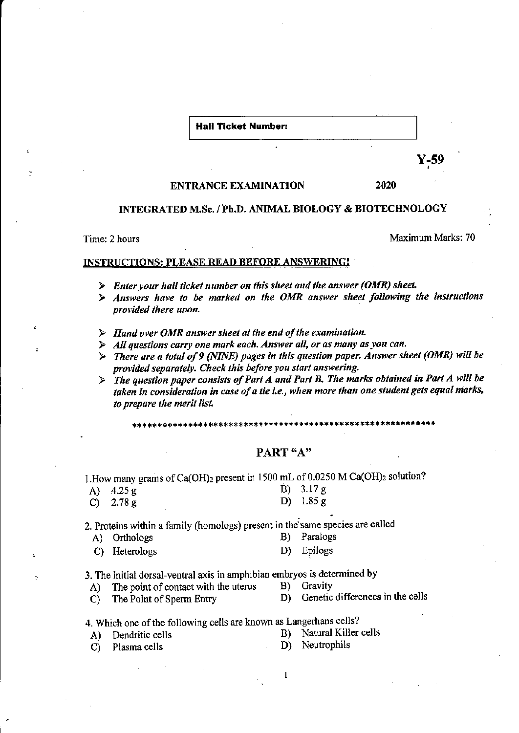**Hall Ticket Number:** 

Y-59

#### **ENTRANCE EXAMINATION**

2020

## INTEGRATED M.Sc. / Ph.D. ANIMAL BIOLOGY & BIOTECHNOLOGY

Time: 2 hours

Maximum Marks: 70

### **INSTRUCTIONS: PLEASE READ BEFORE ANSWERING!**

- $\triangleright$  Enter your hall ticket number on this sheet and the answer (OMR) sheet.
- $\triangleright$  Answers have to be marked on the OMR answer sheet following the instructions provided there upon.
- $\triangleright$  Hand over OMR answer sheet at the end of the examination.
- $\triangleright$  All questions carry one mark each. Answer all, or as many as you can.
- $\triangleright$  There are a total of 9 (NINE) pages in this question paper. Answer sheet (OMR) will be provided separately. Check this before you start answering.
- $\triangleright$  The question paper consists of Part A and Part B. The marks obtained in Part A will be taken in consideration in case of a tie i.e., when more than one student gets equal marks, to prepare the merit list.

### PART "A"

1. How many grams of Ca(OH)<sub>2</sub> present in 1500 mL of 0.0250 M Ca(OH)<sub>2</sub> solution?

| A) $4.25 g$        | B) $3.17 g$ |
|--------------------|-------------|
| $\bigcap 78\sigma$ | D) $1.85 g$ |

2. Proteins within a family (homologs) present in the same species are called

- B) Paralogs A) Orthologs
- Epilogs C) Heterologs D)

3. The initial dorsal-ventral axis in amphibian embryos is determined by

- The point of contact with the uterus B) Gravity  $\mathbf{A}$
- The Point of Sperm Entry  $\mathbf{C}$

D) Genetic differences in the cells

- 4. Which one of the following cells are known as Langerhans cells?
	- Natural Killer cells B)

Plasma cells  $\mathbf{C}$ 

 $A$ )

Dendritic cells

- Neutrophils D)
- 

 $\mathbf{I}$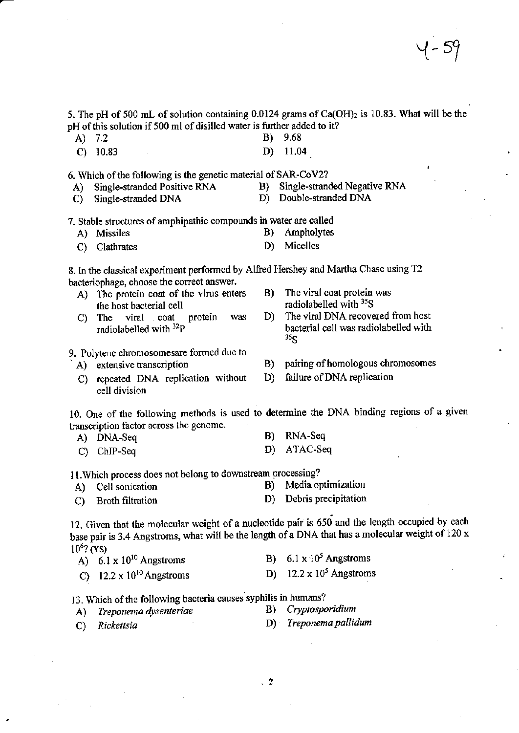5. The pH of 500 mL of solution containing 0.0124 grams of Ca(OH)<sub>2</sub> is 10.83. What will be the pH of this solution if 500 ml of disilled water is further added to it?

- A)  $7.2$ B) 9.68
- $C)$  10.83  $D)$  11.04

6. Which of the following is the genetic material of SAR-CoV2?

- Single-stranded Positive RNA  $A$ )
	- Single-stranded DNA  $\mathbf{C}$ )
- B) Single-stranded Negative RNA
- D) Double-stranded DNA

7. Stable structures of amphipathic compounds in water are called

- A) Missiles B) Ampholytes
- D) Micelles C) Clathrates

8. In the classical experiment performed by Alfred Hershey and Martha Chase using T2 bacteriophage, choose the correct answer.

- A) The protein coat of the virus enters the host bacterial cell
- protein The viral coat was  $\mathbf{C}$ radiolabelled with <sup>32</sup>P
- The viral coat protein was B) radiolabelled with <sup>35</sup>S
- The viral DNA recovered from host D) bacterial cell was radiolabelled with  $35<$
- 9. Polytene chromosomesare formed due to
	- A) extensive transcription
	- C) repeated DNA replication without cell division
- pairing of homologous chromosomes B)
- failure of DNA replication  $D$

10. One of the following methods is used to determine the DNA binding regions of a given transcription factor across the genome. B)

A) DNA-Seq

Cell sonication

A)

ATAC-Seq D) C) ChIP-Seq

11. Which process does not belong to downstream processing?

Media optimization  $B)$ 

RNA-Seq

D) Debris precipitation **Broth filtration**  $\mathbf{C}$ 

12. Given that the molecular weight of a nucleotide pair is 650 and the length occupied by each base pair is 3.4 Angstroms, what will be the length of a DNA that has a molecular weight of 120 x  $10^{6}$ ? (YS)

- B)  $6.1 \times 10^5$  Angstroms A)  $6.1 \times 10^{10}$  Angstroms D)  $12.2 \times 10^5$  Angstroms
- C)  $12.2 \times 10^{10}$  Angstroms

13. Which of the following bacteria causes syphilis in humans?

- Treponema dysenteriae A)
- B) Cryptosporidium

C) Rickettsia

- D) Treponema pallidum
-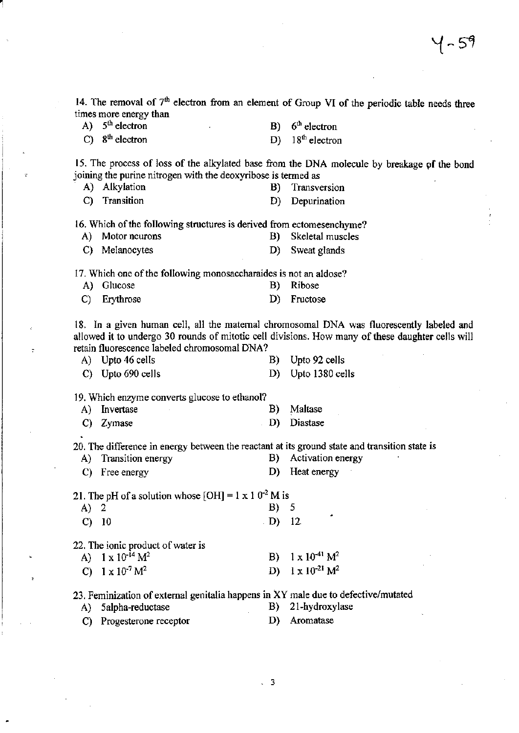14. The removal of  $7<sup>th</sup>$  electron from an element of Group VI of the periodic table needs three times more energy than

A)  $5<sup>th</sup>$  electron

B)  $6<sup>th</sup>$  electron

C)  $8<sup>th</sup>$  electron

D)  $18<sup>th</sup>$  electron

15. The process of loss of the alkylated base ftom the DNA molecule by breakage pf the bond joining the purine nitrogen with the deoxyribose is termed as

A) Alkylation

- B) Transversion
- C) Transition D) Depurination

16. Which of the following structures is derived from ectomesenchyme?

- A) Motor neurons B) Skeletal muscles
- C) Melanocytes D) Sweat glands

17. Which one of the following monosaccharaides is not an aldose?

| A) Glucose   | B) Ribose   |
|--------------|-------------|
| C) Erythrose | D) Fructose |

18. In a given human cell, all the matemal chromosomal DNA was fluorescently labeled and allowed it to undergo 30 rounds of mitotic cell divisions. How many of these daughter cells will retain fluorescence labeled chromosomal DNA?

- A) Upto 46 cells B) Upto 92 cells
- C) Upto 690 cells D) Upto 1380 cells

19. Which enzyme converts glucose to ethanol?

| A) Invertase |  | B) Maltase  |
|--------------|--|-------------|
| C) Zymase    |  | D) Diastase |

20. The difference in energy between the rcactant at irs ground state and transition siate is

- A) Transition energy B) Activation energy
- C) Free energy D) Heat energy

21. The pH of a solution whose  $[OH] = 1 \times 10^{-2}$  M is

 $A)$  2 c) l0  $B) 5$  $(D)$  12.

22. The ionic product of water is

| A) $1 \times 10^{-14} M^2$ | B) $1 \times 10^{-41}$ M <sup>2</sup> |
|----------------------------|---------------------------------------|
| C) $1 \times 10^{-7} M^2$  | D) $1 \times 10^{-21}$ M <sup>2</sup> |

23. Feminization of external genitalia happens in XY male due to defective/mutated

- A) 5alpha-reductase
- B) 2l-hydroxylase
- C) Progesterone receptor D) Aromatase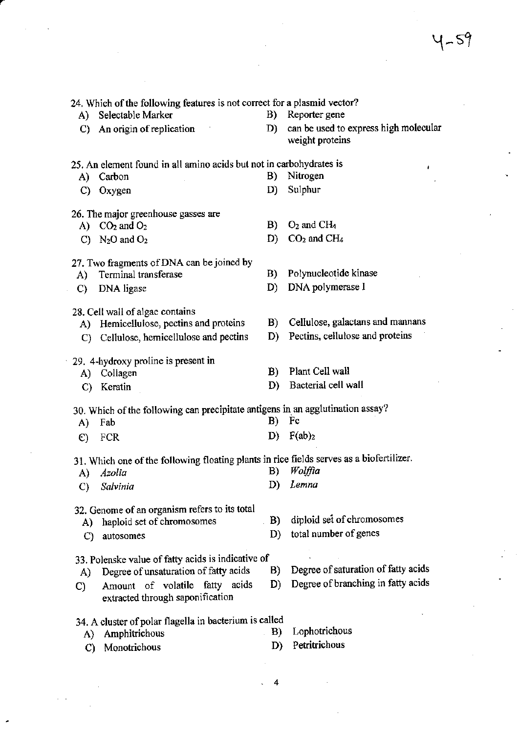$4 - 59$ 

|               | 24. Which of the following features is not correct for a plasmid vector?                 |    |                                                          |
|---------------|------------------------------------------------------------------------------------------|----|----------------------------------------------------------|
|               | A) Selectable Marker                                                                     | B) | Reporter gene                                            |
| C)            | An origin of replication                                                                 | D) | can be used to express high molecular<br>weight proteins |
|               | 25. An element found in all amino acids but not in carbohydrates is                      |    | ۰                                                        |
| A)            | Carbon                                                                                   | B) | Nitrogen                                                 |
|               | C) Oxygen                                                                                | D) | Sulphur                                                  |
|               | 26. The major greenhouse gasses are                                                      |    |                                                          |
|               | A) $CO2$ and $O2$                                                                        | B) | $O2$ and CH <sub>4</sub>                                 |
|               | C) $N_2O$ and $O_2$                                                                      | D) | $CO2$ and $CH4$                                          |
|               | 27. Two fragments of DNA can be joined by                                                |    |                                                          |
| A)            | Terminal transferase                                                                     | B) | Polynucleotide kinase                                    |
| $\mathbf{C}$  | DNA ligase                                                                               | D) | DNA polymerase I                                         |
|               | 28. Cell wall of algae contains                                                          |    |                                                          |
|               | A) Hemicellulose, pectins and proteins                                                   | B) | Cellulose, galactans and mannans                         |
|               | C) Cellulose, hemicellulose and pectins                                                  | D) | Pectins, cellulose and proteins                          |
|               | 29. 4-hydroxy proline is present in                                                      |    |                                                          |
| A)            | Collagen                                                                                 | B) | Plant Cell wall                                          |
| $\mathcal{C}$ | Keratin                                                                                  | D) | Bacterial cell wall                                      |
|               | 30. Which of the following can precipitate antigens in an agglutination assay?           |    |                                                          |
| A)            | Fab                                                                                      | B) | Fc                                                       |
| $\epsilon$    | FCR                                                                                      | D) | F(ab) <sub>2</sub>                                       |
|               | 31. Which one of the following floating plants in rice fields serves as a biofertilizer. |    |                                                          |
| A)            | Azolia                                                                                   | B) | Wolffia                                                  |
|               | C) Salvinia                                                                              | D) | Lemna                                                    |
|               | 32. Genome of an organism refers to its total                                            |    |                                                          |
| A)            | haploid set of chromosomes                                                               | B) | diploid set of chromosomes                               |
| C)            | autosomes                                                                                | D) | total number of genes                                    |
|               | 33. Polenske value of fatty acids is indicative of                                       |    |                                                          |
| A)            | Degree of unsaturation of fatty acids                                                    | B) | Degree of saturation of fatty acids                      |
| C)            | Amount of volatile<br>fatty acids<br>extracted through saponification                    | D) | Degree of branching in fatty acids                       |
|               | 34. A cluster of polar flagella in bacterium is called                                   |    |                                                          |
| A)            | Amphitrichous                                                                            | B) | Lophotrichous                                            |
| C)            | Monotrichous                                                                             | D) | Petritrichous                                            |

.4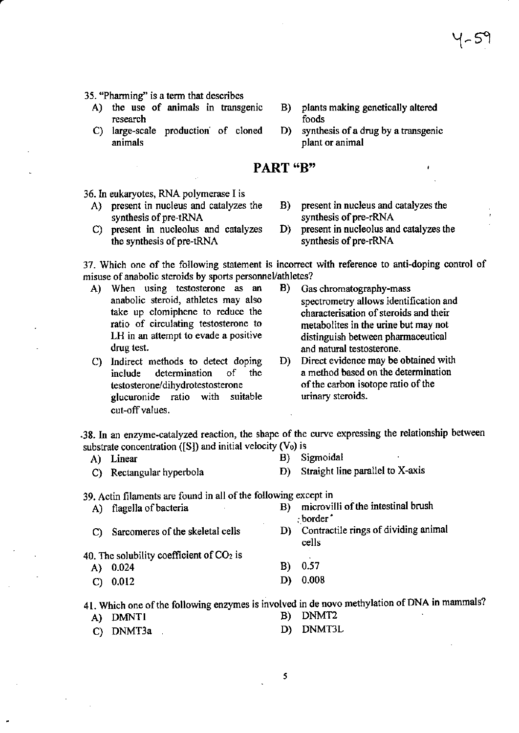- 35. "Pharming" is a term that describes
	- A) the use of animals in transgenic research
	- C) large-scale production of cloned animals
- $\bf{B}$ plants making genetically altered foods
- D) synthesis of a drug by a transgenic plant or animal

# PART "B"

36. In eukaryotes, RNA polymerase I is

- A) present in nucleus and catalyzes the synthesis of pre-tRNA
- C) present in nucleolus and catalyzes the synthesis of pre-tRNA
- present in nucleus and catalyzes the B) synthesis of pre-rRNA
- present in nucleolus and catalyzes the D) synthesis of pre-rRNA

37. Which one of the following statement is incorrect with reference to anti-doping control of misuse of anabolic steroids by sports personnel/athletes?

- A) When using testosterone as an anabolic steroid, athletes may also take up clomiphene to reduce the ratio of circulating testosterone to LH in an attempt to evade a positive drug test.
- C) Indirect methods to detect doping include determination  $\sigma$ f the testosterone/dihydrotestosterone glucuronide ratio with suitable cut-off values.
- B) Gas chromatography-mass spectrometry allows identification and characterisation of steroids and their metabolites in the urine but may not distinguish between pharmaceutical and natural testosterone.
- D) Direct evidence may be obtained with a method based on the determination of the carbon isotope ratio of the urinary steroids.

.38. In an enzyme-catalyzed reaction, the shape of the curve expressing the relationship between substrate concentration ([S]) and initial velocity (V<sub>0</sub>) is

- A) Linear
- C) Rectangular hyperbola
- Sigmoidal B)
- Straight line parallel to X-axis D)

39. Actin filaments are found in all of the following except in

- microvilli of the intestinal brush  $B)$ A) flagella of bacteria : border D) Contractile rings of dividing animal C) Sarcomeres of the skeletal cells cells 40. The solubility coefficient of  $CO<sub>2</sub>$  is
	- **B**) 0.57 A) 0.024 D) 0.008  $C) 0.012$

41. Which one of the following enzymes is involved in de novo methylation of DNA in mammals?

A) DMNT1

- DNMT<sub>2</sub> **B**)
- DNMT3L  $D$ C) DNMT3a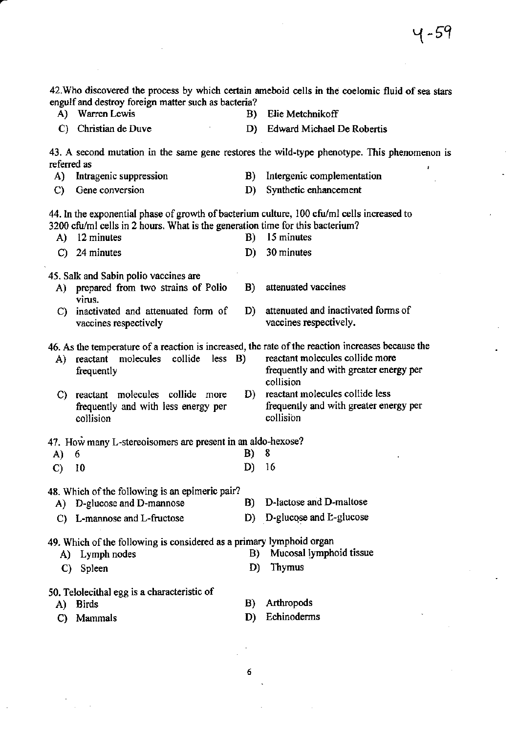|                                                                                                                                                                             | C) Christian de Duve                                                                          | D)       | <b>Edward Michael De Robertis</b>                                                                                                                                                           |  |  |
|-----------------------------------------------------------------------------------------------------------------------------------------------------------------------------|-----------------------------------------------------------------------------------------------|----------|---------------------------------------------------------------------------------------------------------------------------------------------------------------------------------------------|--|--|
| 43. A second mutation in the same gene restores the wild-type phenotype. This phenomenon is<br>referred as                                                                  |                                                                                               |          |                                                                                                                                                                                             |  |  |
| A)                                                                                                                                                                          | Intragenic suppression                                                                        | B)       | Intergenic complementation                                                                                                                                                                  |  |  |
| C)                                                                                                                                                                          | Gene conversion                                                                               | D)       | Synthetic enhancement                                                                                                                                                                       |  |  |
| 44. In the exponential phase of growth of bacterium culture, 100 cfu/ml cells increased to<br>3200 cfu/ml cells in 2 hours. What is the generation time for this bacterium? |                                                                                               |          |                                                                                                                                                                                             |  |  |
| A)                                                                                                                                                                          | 12 minutes                                                                                    | B)       | 15 minutes                                                                                                                                                                                  |  |  |
| $\mathbf{C}$                                                                                                                                                                | 24 minutes                                                                                    | D)       | 30 minutes                                                                                                                                                                                  |  |  |
| A)                                                                                                                                                                          | 45. Salk and Sabin polio vaccines are<br>prepared from two strains of Polio<br>virus.         | B)       | attenuated vaccines                                                                                                                                                                         |  |  |
| C)                                                                                                                                                                          | inactivated and attenuated form of<br>vaccines respectively                                   | D)       | attenuated and inactivated forms of<br>vaccines respectively.                                                                                                                               |  |  |
| A)                                                                                                                                                                          | molecules<br>collide<br>less <b>B</b><br>reactant<br>frequently                               |          | 46. As the temperature of a reaction is increased, the rate of the reaction increases because the<br>reactant molecules collide more<br>frequently and with greater energy per<br>collision |  |  |
| C)                                                                                                                                                                          | reactant molecules collide more<br>frequently and with less energy per<br>collision           | D)       | reactant molecules collide less<br>frequently and with greater energy per<br>collision                                                                                                      |  |  |
|                                                                                                                                                                             | 47. How many L-stereoisomers are present in an aldo-hexose?                                   |          |                                                                                                                                                                                             |  |  |
| A)                                                                                                                                                                          | 6                                                                                             | B)       | 8                                                                                                                                                                                           |  |  |
| $\mathbf{C}$                                                                                                                                                                | 10                                                                                            | D)       | 16                                                                                                                                                                                          |  |  |
| 48. Which of the following is an epimeric pair?                                                                                                                             |                                                                                               |          |                                                                                                                                                                                             |  |  |
|                                                                                                                                                                             | A) D-glucose and D-mannose                                                                    | B)       | D-lactose and D-maltose                                                                                                                                                                     |  |  |
|                                                                                                                                                                             | C) L-mannose and L-fructose                                                                   |          | D) D-glucose and L-glucose                                                                                                                                                                  |  |  |
| A)<br>$\mathbf{C}$                                                                                                                                                          | 49. Which of the following is considered as a primary lymphoid organ<br>Lymph nodes<br>Spleen | B)<br>D) | Mucosal lymphoid tissue<br>Thymus                                                                                                                                                           |  |  |
| A)<br>C)                                                                                                                                                                    | 50. Telolecithal egg is a characteristic of<br><b>Birds</b><br>Mammals                        | B)<br>D) | Arthropods<br>Echinoderms                                                                                                                                                                   |  |  |
|                                                                                                                                                                             |                                                                                               |          |                                                                                                                                                                                             |  |  |

42. Who discovered the process by which certain ameboid cells in the coelomic fluid of sea stars engulf and destroy foreign matter such as bacteria?<br>
A) Warren Lewis B) Elie Metchnikoff

 $\bar{\gamma}$ 

 $\bf 6$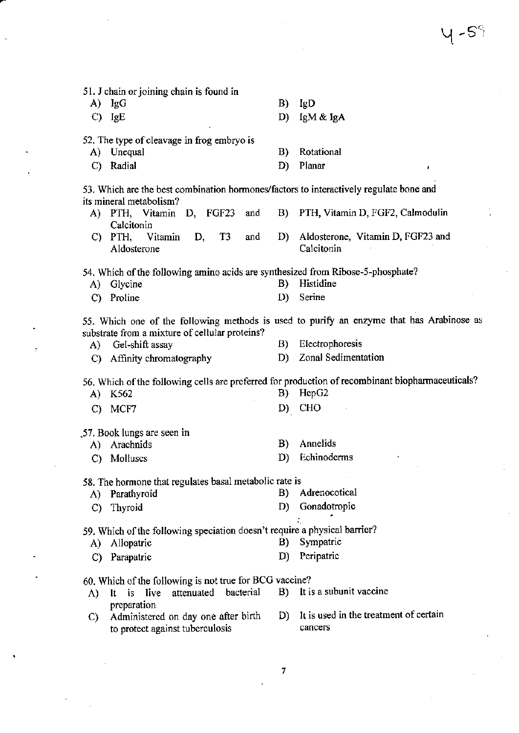51. J chain or joining chain is found in A) IgG B) IgD C) IgE D) IgM & IgA 52. The type of cleavage in frog embryo is A) Unequal B) Rotational C) Radial D) Planar 53. Which are the best combination hormones/factors to interactively regulate bone and its mineral metabolism? A) PTH, Vitamin D, FCF23 and B) PTH, Vitamin D, FGF2, Calmodulin Calcitonin C) PTH, Vitamin D, T3 and D) Aldosterone, vitamin D, FGF23 and Aldosterone 54. Which of the following amino acids are synthesized from Ribose-5-phosphate? A) Glycine B) Histidine C) Proline D) Serine 55. Which one of the following methods is used to purify an enzyme that has Arabinose as substrate from a mixture of cellular proteins? A) Gel-shift assay B) Electrophoresis<br>
C) Affinity chromatography B) Zonal Sedimentation C) Affinity chromatography 56. Which of the following cells are preferred for production of recombinant biopharmaceuticals! A) K562 B) HepG2 c) MCFT D) CHO .57. Book lungs are seen in A) Arachnids B) Annelids<br>
C) Molluses D) Echinoderms C) Molluscs D) 58. The hormone that regulates basal metabolic rate is<br>A) Parathyroid  $\qquad$  B) Adrenocotical A) Parathyroid B) Adrenocotical<br>
C) Thyroid D) Gonadotropic C) Thyroid D) .Gonadorropio 59. Which of the following speciation doesn't require a physical barrier? A) Allopatric B) Sympatric C) Parapatric D) Peripatric 60. Which of the following is not true for BCG vaccine?<br>A) It is live attenuated bacterial B) It is A) lt is live attenuated bacterial B) lt is a subunit vaccine preparation C) Administered on day one after birth D) It is used in the treatment of certain<br>to protect against tuberculosis cancers to protect against tuberculosis

 $4$  -S $^{\circ}_{\phantom{\circ}7}$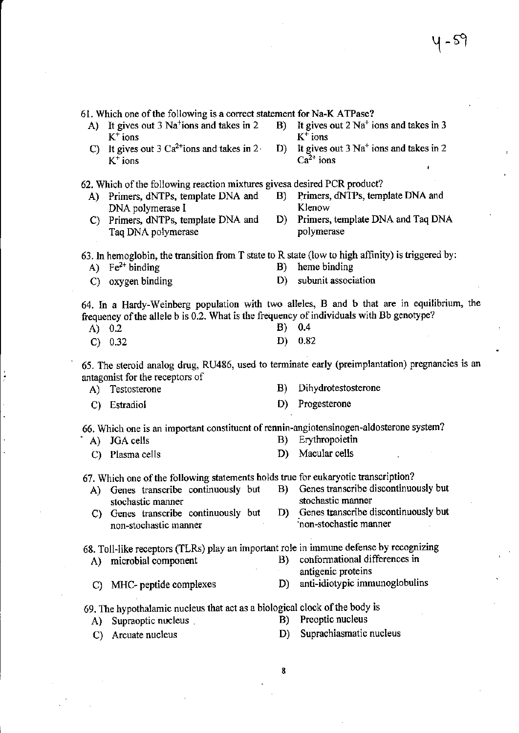$4-59$ 

 $\sim$  :

 $\mathbf{u}$  .

| A)           | 61. Which one of the following is a correct statement for Na-K ATPase?<br>It gives out 3 Na <sup>+</sup> ions and takes in 2 | B) | It gives out $2 \text{ Na}^+$ ions and takes in 3                                                |
|--------------|------------------------------------------------------------------------------------------------------------------------------|----|--------------------------------------------------------------------------------------------------|
|              | $K^+$ ions<br>C) It gives out 3 $Ca^{2+}$ ions and takes in 2.                                                               | D) | $K^+$ ions<br>It gives out $3 \text{ Na}^+$ ions and takes in 2                                  |
|              | $K^+$ ions                                                                                                                   |    | $Ca^{2+}$ ions<br>t                                                                              |
|              | 62. Which of the following reaction mixtures gives adesired PCR product?                                                     |    |                                                                                                  |
|              | A) Primers, dNTPs, template DNA and<br>DNA polymerase I                                                                      | B) | Primers, dNTPs, template DNA and<br>Klenow                                                       |
| C)           | Primers, dNTPs, template DNA and<br>Taq DNA polymerase                                                                       | D) | Primers, template DNA and Taq DNA<br>polymerase                                                  |
| A)           | 63. In hemoglobin, the transition from T state to R state (low to high affinity) is triggered by:<br>$Fe2+ binding$          | B) | heme binding                                                                                     |
|              |                                                                                                                              |    | subunit association                                                                              |
| $\mathbf{C}$ | oxygen binding                                                                                                               | D) |                                                                                                  |
| A) $0.2$     | frequency of the allele b is 0.2. What is the frequency of individuals with Bb genotype?                                     | B) | 64. In a Hardy-Weinberg population with two alleles, B and b that are in equilibrium, the<br>0.4 |
|              |                                                                                                                              | D) | 0.82                                                                                             |
| $\mathbf{C}$ | 0.32                                                                                                                         |    |                                                                                                  |
|              | antagonist for the receptors of                                                                                              |    | 65. The steroid analog drug, RU486, used to terminate early (preimplantation) pregnancies is an  |
| A)           | Testosterone                                                                                                                 | B) | Dihydrotestosterone                                                                              |
| C)           | Estradiol                                                                                                                    | D) | Progesterone                                                                                     |
| $A$ )        | 66. Which one is an important constituent of rennin-angiotensinogen-aldosterone system?<br>JGA cells                         | B) | Erythropoietin                                                                                   |
|              |                                                                                                                              | D) | Macular cells                                                                                    |
| C)           | Plasma cells                                                                                                                 |    |                                                                                                  |
|              | 67. Which one of the following statements holds true for eukaryotic transcription?                                           |    |                                                                                                  |
| A)           | Genes transcribe continuously but                                                                                            | B) | Genes transcribe discontinuously but                                                             |
|              | stochastic manner                                                                                                            |    | stochastic manner                                                                                |
| C)           | Genes transcribe continuously but                                                                                            | D) | Genes transcribe discontinuously but                                                             |
|              | non-stochastic manner                                                                                                        |    | non-stochastic manner                                                                            |
|              | 68. Toll-like receptors (TLRs) play an important role in immune defense by recognizing                                       |    |                                                                                                  |
| A)           | microbial component                                                                                                          | B) | conformational differences in<br>antigenic proteins                                              |
| C)           | MHC- peptide complexes                                                                                                       | D) | anti-idiotypic immunoglobulins                                                                   |
|              | 69. The hypothalamic nucleus that act as a biological clock of the body is                                                   |    |                                                                                                  |
| A)           | Supraoptic nucleus                                                                                                           | B) | Preoptic nucleus                                                                                 |
| $\mathbf{C}$ | Arcuate nucleus                                                                                                              | D) | Suprachiasmatic nucleus                                                                          |
|              |                                                                                                                              | 8  |                                                                                                  |
|              |                                                                                                                              |    |                                                                                                  |
|              |                                                                                                                              |    |                                                                                                  |

 $\label{eq:2.1} \frac{1}{\sqrt{2}}\int_{\mathbb{R}^3}\frac{1}{\sqrt{2}}\left(\frac{1}{\sqrt{2}}\right)^2\frac{1}{\sqrt{2}}\left(\frac{1}{\sqrt{2}}\right)^2\frac{1}{\sqrt{2}}\left(\frac{1}{\sqrt{2}}\right)^2\frac{1}{\sqrt{2}}\left(\frac{1}{\sqrt{2}}\right)^2.$